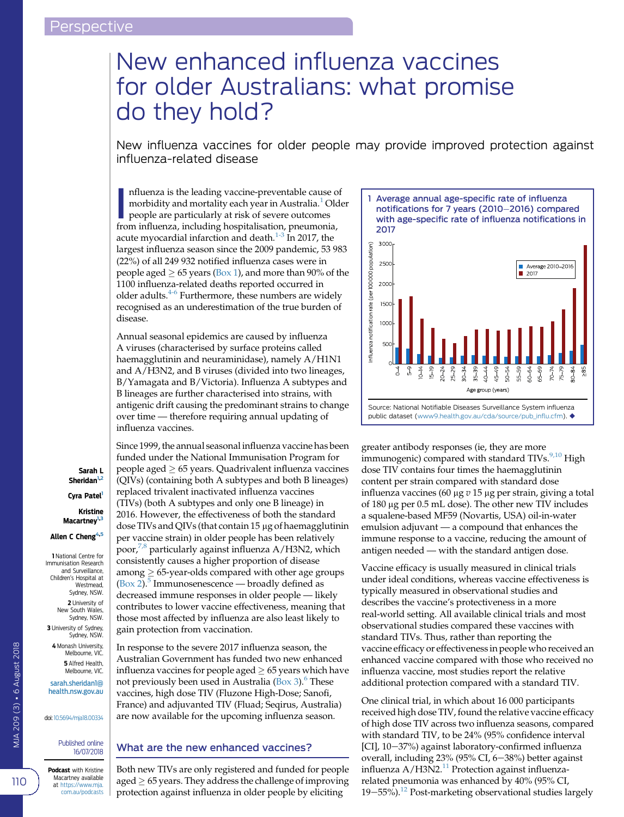# <span id="page-0-0"></span>New enhanced influenza vaccines for older Australians: what promise do they hold?

New influenza vaccines for older people may provide improved protection against influenza-related disease

nfluenza is the leading vaccine-preventable cause comorbidity and mortality each year in Australia.<sup>1</sup> Old people are particularly at risk of severe outcomes from influenza, including hospitalisation, pneumonia, nfluenza is the leading vaccine-preventable cause of morbidity and mortality each year in Australia.<sup>[1](#page-3-0)</sup> Older people are particularly at risk of severe outcomes acute myocardial infarction and death. $1-3$  In 2017, the largest influenza season since the 2009 pandemic, 53 983 (22%) of all 249 932 notified influenza cases were in people aged  $\geq 65$  years (Box 1), and more than 90% of the 1100 influenza-related deaths reported occurred in older adults. $4-6$  Furthermore, these numbers are widely recognised as an underestimation of the true burden of disease.

Annual seasonal epidemics are caused by influenza A viruses (characterised by surface proteins called haemagglutinin and neuraminidase), namely A/H1N1 and A/H3N2, and B viruses (divided into two lineages, B/Yamagata and B/Victoria). Influenza A subtypes and B lineages are further characterised into strains, with antigenic drift causing the predominant strains to change over time — therefore requiring annual updating of influenza vaccines.

Since 1999, the annual seasonal influenza vaccine has been

funded under the National Immunisation Program for people aged  $\geq 65$  years. Quadrivalent influenza vaccines (QIVs) (containing both A subtypes and both B lineages) replaced trivalent inactivated influenza vaccines (TIVs) (both A subtypes and only one B lineage) in 2016. However, the effectiveness of both the standard dose TIVs and QIVs (that contain 15 µg of haemagglutinin per vaccine strain) in older people has been relatively poor,<sup>[7,8](#page-3-0)</sup> particularly against influenza  $A/H3N2$ , which Cyra Patel

consistently causes a higher proportion of disease among  $\geq 65$ -year-olds compared with other age groups  $(Box 2).$  $(Box 2).$ <sup>[5](#page-3-0)</sup> Immunosenescence — broadly defined as decreased immune responses in older people — likely contributes to lower vaccine effectiveness, meaning that those most affected by influenza are also least likely to gain protection from vaccination.

In response to the severe 2017 influenza season, the Australian Government has funded two new enhanced influenza vaccines for people aged  $\geq 65$  years which have not previously been used in Australia  $(Box 3)$ .<sup>[6](#page-3-0)</sup> These vaccines, high dose TIV (Fluzone High-Dose; Sanofi, France) and adjuvanted TIV (Fluad; Seqirus, Australia) are now available for the upcoming influenza season.

### What are the new enhanced vaccines?

Both new TIVs are only registered and funded for people aged  $\geq 65$  years. They address the challenge of improving protection against influenza in older people by eliciting



greater antibody responses (ie, they are more immunogenic) compared with standard TIVs.<sup>[9,10](#page-3-0)</sup> High dose TIV contains four times the haemagglutinin content per strain compared with standard dose influenza vaccines (60 µg  $v$  15 µg per strain, giving a total of 180 µg per 0.5 mL dose). The other new TIV includes a squalene-based MF59 (Novartis, USA) oil-in-water emulsion adjuvant — a compound that enhances the immune response to a vaccine, reducing the amount of antigen needed — with the standard antigen dose.

Vaccine efficacy is usually measured in clinical trials under ideal conditions, whereas vaccine effectiveness is typically measured in observational studies and describes the vaccine's protectiveness in a more real-world setting. All available clinical trials and most observational studies compared these vaccines with standard TIVs. Thus, rather than reporting the vaccine efficacy or effectiveness in people who received an enhanced vaccine compared with those who received no influenza vaccine, most studies report the relative additional protection compared with a standard TIV.

One clinical trial, in which about 16 000 participants received high dose TIV, found the relative vaccine efficacy of high dose TIV across two influenza seasons, compared with standard TIV, to be 24% (95% confidence interval [CI], 10-37%) against laboratory-confirmed influenza overall, including 23% (95% CI, 6-38%) better against influenza  $A/H3N2$ .<sup>[11](#page-3-0)</sup> Protection against influenzarelated pneumonia was enhanced by 40% (95% CI, 19 $-55%$ ).<sup>12</sup> Post-marketing observational studies largely

Sarah L Sheridan<sup>1,2</sup>

Kristine Macartney<sup>1,3</sup>

Allen C Cheng<sup>4,5</sup>

1 National Centre for Immunisation Research and Surveillance, Children's Hospital at Westmead Sydney, NSW. 2 University of New South Wales, Sydney, NSW. 3 University of Sydney, Sydney, NSW. 4 Monash University, Melbourne, VIC. 5 Alfred Health, Melbourne, VIC. [sarah.sheridan1@](mailto:sarah.sheridan1@health.nsw.gov.au) [health.nsw.gov.au](mailto:sarah.sheridan1@health.nsw.gov.au)

doi: [10.5694/mja18.00334](https://doi.org/10.5694/mja18.00334)

Published online 16/07/2018

Podcast with Kristine Macartney available at [https://www.mja.](https://www.mja.com.au/podcasts) [com.au/podcasts](https://www.mja.com.au/podcasts)

MJA 209 (3) • 6 August 2018

VIA 209 (3) - 6 August 2018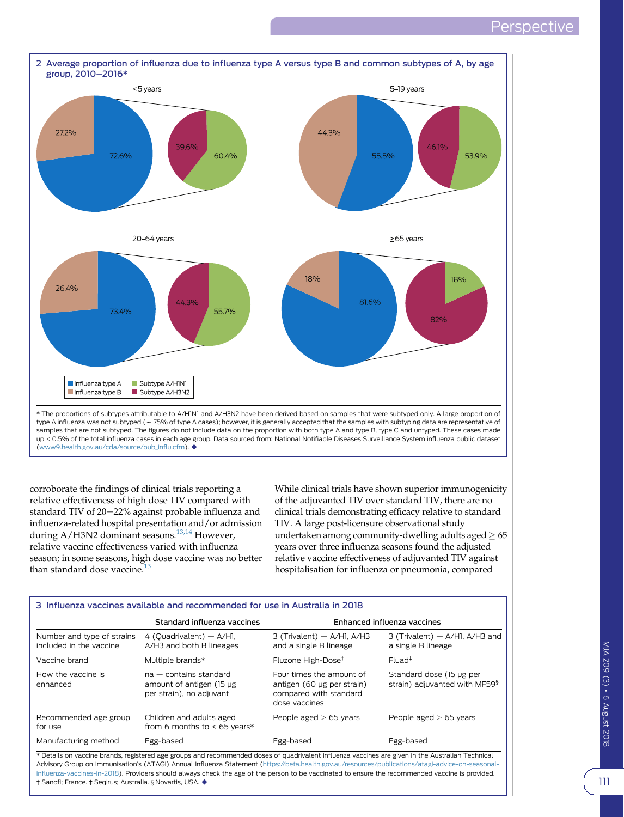<span id="page-1-0"></span>

corroborate the findings of clinical trials reporting a relative effectiveness of high dose TIV compared with standard TIV of  $20-22%$  against probable influenza and influenza-related hospital presentation and/or admission during A/H3N2 dominant seasons.<sup>[13,14](#page-3-0)</sup> However, relative vaccine effectiveness varied with influenza season; in some seasons, high dose vaccine was no better than standard dose vaccine. $13$ 

While clinical trials have shown superior immunogenicity of the adjuvanted TIV over standard TIV, there are no clinical trials demonstrating efficacy relative to standard TIV. A large post-licensure observational study undertaken among community-dwelling adults aged  $\geq 65$ years over three influenza seasons found the adjusted relative vaccine effectiveness of adjuvanted TIV against hospitalisation for influenza or pneumonia, compared

| 3 Influenza vaccines available and recommended for use in Australia in 2018                                                                                                                                                                                                                           |                                                                                  |                                                                                                   |                                                                       |
|-------------------------------------------------------------------------------------------------------------------------------------------------------------------------------------------------------------------------------------------------------------------------------------------------------|----------------------------------------------------------------------------------|---------------------------------------------------------------------------------------------------|-----------------------------------------------------------------------|
|                                                                                                                                                                                                                                                                                                       | Standard influenza vaccines                                                      | Enhanced influenza vaccines                                                                       |                                                                       |
| Number and type of strains<br>included in the vaccine                                                                                                                                                                                                                                                 | 4 (Quadrivalent) - A/HI,<br>A/H3 and both B lineages                             | $3$ (Trivalent) $-$ A/HI, A/H3<br>and a single B lineage                                          | $3$ (Trivalent) $-$ A/HI, A/H3 and<br>a single B lineage              |
| Vaccine brand                                                                                                                                                                                                                                                                                         | Multiple brands*                                                                 | Fluzone High-Dose <sup>t</sup>                                                                    | $Flu$ ad <sup>‡</sup>                                                 |
| How the vaccine is<br>enhanced                                                                                                                                                                                                                                                                        | $na - contains standard$<br>amount of antigen (15 µg<br>per strain), no adjuvant | Four times the amount of<br>antigen (60 µg per strain)<br>compared with standard<br>dose vaccines | Standard dose (15 µg per<br>strain) adjuvanted with MF59 <sup>§</sup> |
| Recommended age group<br>for use                                                                                                                                                                                                                                                                      | Children and adults aged<br>from 6 months to $<$ 65 years*                       | People aged $> 65$ years                                                                          | People aged $> 65$ years                                              |
| Manufacturing method                                                                                                                                                                                                                                                                                  | Egg-based                                                                        | Egg-based                                                                                         | Egg-based                                                             |
| * Details on vaccine brands, registered age groups and recommended doses of quadrivalent influenza vaccines are given in the Australian Technical<br>Advisory Group on Immunication's (ATAGI) Annual Influenza Statement (bitps://beta-bealth.gov.au/resources/publications/atagi-advise-on-seasonal- |                                                                                  |                                                                                                   |                                                                       |

, Group on Immunisation's (ATAGI) infl[uenza-vaccines-in-2018](https://beta.health.gov.au/resources/publications/atagi-advice-on-seasonal-influenza-vaccines-in-2018)). Providers should always check the age of the person to be vaccinated to ensure the recommended vaccine is provided. † Sanofi; France. ‡ Seqirus; Australia. § Novartis, USA. ♦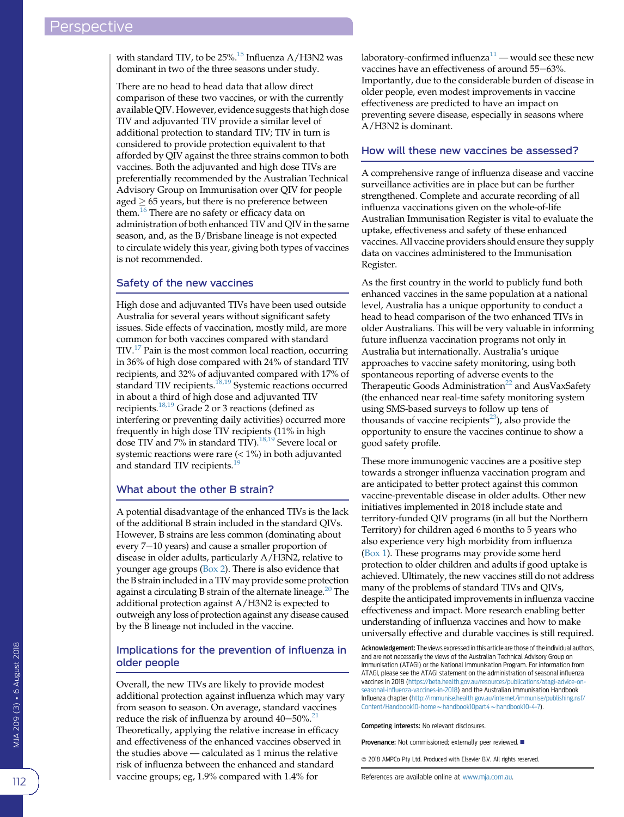with standard TIV, to be  $25\%$ .<sup>15</sup> Influenza A/H3N2 was dominant in two of the three seasons under study.

There are no head to head data that allow direct comparison of these two vaccines, or with the currently available QIV. However, evidence suggests that high dose TIV and adjuvanted TIV provide a similar level of additional protection to standard TIV; TIV in turn is considered to provide protection equivalent to that afforded by QIV against the three strains common to both vaccines. Both the adjuvanted and high dose TIVs are preferentially recommended by the Australian Technical Advisory Group on Immunisation over QIV for people aged  $> 65$  years, but there is no preference between them.<sup>[16](#page-3-0)</sup> There are no safety or efficacy data on administration of both enhanced TIV and QIV in the same season, and, as the B/Brisbane lineage is not expected to circulate widely this year, giving both types of vaccines is not recommended.

#### Safety of the new vaccines

High dose and adjuvanted TIVs have been used outside Australia for several years without significant safety issues. Side effects of vaccination, mostly mild, are more common for both vaccines compared with standard TIV[.17](#page-3-0) Pain is the most common local reaction, occurring in 36% of high dose compared with 24% of standard TIV recipients, and 32% of adjuvanted compared with 17% of standard TIV recipients.<sup>[18,19](#page-3-0)</sup> Systemic reactions occurred in about a third of high dose and adjuvanted TIV recipients.[18,19](#page-3-0) Grade 2 or 3 reactions (defined as interfering or preventing daily activities) occurred more frequently in high dose TIV recipients (11% in high dose TIV and 7% in standard TIV).<sup>[18,19](#page-3-0)</sup> Severe local or systemic reactions were rare  $(< 1\%)$  in both adjuvanted and standard TIV recipients.<sup>1</sup>

#### What about the other B strain?

A potential disadvantage of the enhanced TIVs is the lack of the additional B strain included in the standard QIVs. However, B strains are less common (dominating about every  $7-10$  years) and cause a smaller proportion of disease in older adults, particularly A/H3N2, relative to younger age groups [\(Box 2\)](#page-1-0). There is also evidence that the B strain included in a TIV may provide some protection against a circulating B strain of the alternate lineage.<sup>[20](#page-3-0)</sup> The additional protection against A/H3N2 is expected to outweigh any loss of protection against any disease caused by the B lineage not included in the vaccine.

#### Implications for the prevention of influenza in older people

Overall, the new TIVs are likely to provide modest additional protection against influenza which may vary from season to season. On average, standard vaccines reduce the risk of influenza by around  $40-50\%$ .<sup>[21](#page-3-0)</sup> Theoretically, applying the relative increase in efficacy and effectiveness of the enhanced vaccines observed in the studies above — calculated as 1 minus the relative risk of influenza between the enhanced and standard vaccine groups; eg, 1.9% compared with 1.4% for

laboratory-confirmed influenza $11$  — would see these new vaccines have an effectiveness of around 55-63%. Importantly, due to the considerable burden of disease in older people, even modest improvements in vaccine effectiveness are predicted to have an impact on preventing severe disease, especially in seasons where A/H3N2 is dominant.

#### How will these new vaccines be assessed?

A comprehensive range of influenza disease and vaccine surveillance activities are in place but can be further strengthened. Complete and accurate recording of all influenza vaccinations given on the whole-of-life Australian Immunisation Register is vital to evaluate the uptake, effectiveness and safety of these enhanced vaccines. All vaccine providers should ensure they supply data on vaccines administered to the Immunisation Register.

As the first country in the world to publicly fund both enhanced vaccines in the same population at a national level, Australia has a unique opportunity to conduct a head to head comparison of the two enhanced TIVs in older Australians. This will be very valuable in informing future influenza vaccination programs not only in Australia but internationally. Australia's unique approaches to vaccine safety monitoring, using both spontaneous reporting of adverse events to the Therapeutic Goods Administration<sup>[22](#page-3-0)</sup> and AusVaxSafety (the enhanced near real-time safety monitoring system using SMS-based surveys to follow up tens of thousands of vaccine recipients $^{23}$  $^{23}$  $^{23}$ ), also provide the opportunity to ensure the vaccines continue to show a good safety profile.

These more immunogenic vaccines are a positive step towards a stronger influenza vaccination program and are anticipated to better protect against this common vaccine-preventable disease in older adults. Other new initiatives implemented in 2018 include state and territory-funded QIV programs (in all but the Northern Territory) for children aged 6 months to 5 years who also experience very high morbidity from influenza ([Box 1](#page-0-0)). These programs may provide some herd protection to older children and adults if good uptake is achieved. Ultimately, the new vaccines still do not address many of the problems of standard TIVs and QIVs, despite the anticipated improvements in influenza vaccine effectiveness and impact. More research enabling better understanding of influenza vaccines and how to make universally effective and durable vaccines is still required.

Acknowledgement: The views expressed in this article are those of the individual authors, and are not necessarily the views of the Australian Technical Advisory Group on Immunisation (ATAGI) or the National Immunisation Program. For information from ATAGI, please see the ATAGI statement on the administration of seasonal influenza vaccines in 2018 ([https://beta.health.gov.au/resources/publications/atagi-advice-on](https://beta.health.gov.au/resources/publications/atagi-advice-on-seasonal-influenza-vaccines-in-2018)seasonal-infl[uenza-vaccines-in-2018\)](https://beta.health.gov.au/resources/publications/atagi-advice-on-seasonal-influenza-vaccines-in-2018) and the Australian Immunisation Handbook Influenza chapter ([http://immunise.health.gov.au/internet/immunise/publishing.nsf/](http://immunise.health.gov.au/internet/immunise/publishing.nsf/Content/Handbook10-home%7Ehandbook10part4%7Ehandbook10-4-7) [Content/Handbook10-home](http://immunise.health.gov.au/internet/immunise/publishing.nsf/Content/Handbook10-home%7Ehandbook10part4%7Ehandbook10-4-7) $\sim$ [handbook10part4](http://immunise.health.gov.au/internet/immunise/publishing.nsf/Content/Handbook10-home%7Ehandbook10part4%7Ehandbook10-4-7) $\sim$ [handbook10-4-7](http://immunise.health.gov.au/internet/immunise/publishing.nsf/Content/Handbook10-home%7Ehandbook10part4%7Ehandbook10-4-7)).

Competing interests: No relevant disclosures.

Provenance: Not commissioned; externally peer reviewed.

 $@$  2018 AMPCo Pty Ltd. Produced with Elsevier B.V. All rights reserved.

References are available online at [www.mja.com.au.](http://www.mja.com.au)